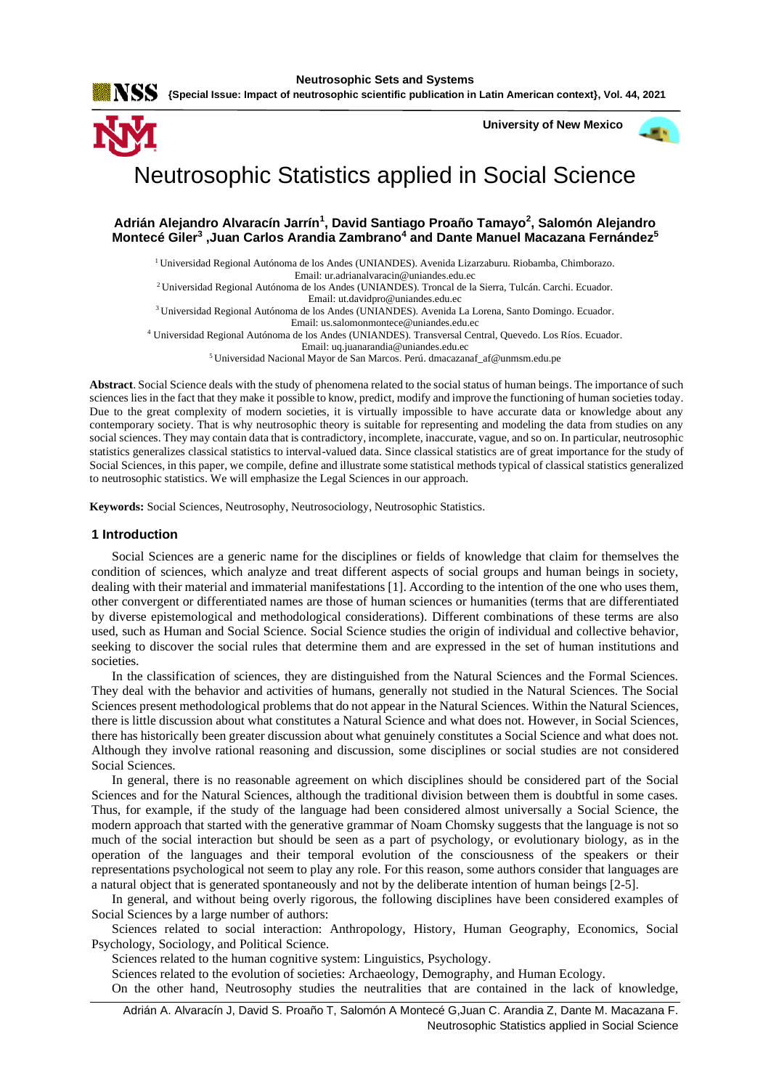

 **University of New Mexico**



# Neutrosophic Statistics applied in Social Science

# **Adrián Alejandro Alvaracín Jarrín<sup>1</sup> , David Santiago Proaño Tamayo<sup>2</sup> , Salomón Alejandro Montecé Giler<sup>3</sup> ,Juan Carlos Arandia Zambrano<sup>4</sup> and Dante Manuel Macazana Fernández<sup>5</sup>**

<sup>1</sup> Universidad Regional Autónoma de los Andes (UNIANDES). Avenida Lizarzaburu. Riobamba, Chimborazo. Email: ur.adrianalvaracin@uniandes.edu.ec

<sup>2</sup>Universidad Regional Autónoma de los Andes (UNIANDES). Troncal de la Sierra, Tulcán. Carchi. Ecuador.

Email: ut.davidpro@uniandes.edu.ec

<sup>3</sup>Universidad Regional Autónoma de los Andes (UNIANDES). Avenida La Lorena, Santo Domingo. Ecuador.

Email: us.salomonmontece@uniandes.edu.ec

<sup>4</sup> Universidad Regional Autónoma de los Andes (UNIANDES). Transversal Central, Quevedo. Los Ríos. Ecuador.

Email: uq.juanarandia@uniandes.edu.ec

<sup>5</sup>Universidad Nacional Mayor de San Marcos. Perú. dmacazanaf\_af@unmsm.edu.pe

**Abstract**. Social Science deals with the study of phenomena related to the social status of human beings. The importance of such sciences lies in the fact that they make it possible to know, predict, modify and improve the functioning of human societies today. Due to the great complexity of modern societies, it is virtually impossible to have accurate data or knowledge about any contemporary society. That is why neutrosophic theory is suitable for representing and modeling the data from studies on any social sciences. They may contain data that is contradictory, incomplete, inaccurate, vague, and so on. In particular, neutrosophic statistics generalizes classical statistics to interval-valued data. Since classical statistics are of great importance for the study of Social Sciences, in this paper, we compile, define and illustrate some statistical methods typical of classical statistics generalized to neutrosophic statistics. We will emphasize the Legal Sciences in our approach.

**Keywords:** Social Sciences, Neutrosophy, Neutrosociology, Neutrosophic Statistics.

## **1 Introduction**

Social Sciences are a generic name for the disciplines or fields of knowledge that claim for themselves the condition of sciences, which analyze and treat different aspects of social groups and human beings in society, dealing with their material and immaterial manifestations [\[1\]](#page-6-0). According to the intention of the one who uses them, other convergent or differentiated names are those of human sciences or humanities (terms that are differentiated by diverse epistemological and methodological considerations). Different combinations of these terms are also used, such as Human and Social Science. Social Science studies the origin of individual and collective behavior, seeking to discover the social rules that determine them and are expressed in the set of human institutions and societies.

In the classification of sciences, they are distinguished from the Natural Sciences and the Formal Sciences. They deal with the behavior and activities of humans, generally not studied in the Natural Sciences. The Social Sciences present methodological problems that do not appear in the Natural Sciences. Within the Natural Sciences, there is little discussion about what constitutes a Natural Science and what does not. However, in Social Sciences, there has historically been greater discussion about what genuinely constitutes a Social Science and what does not. Although they involve rational reasoning and discussion, some disciplines or social studies are not considered Social Sciences.

In general, there is no reasonable agreement on which disciplines should be considered part of the Social Sciences and for the Natural Sciences, although the traditional division between them is doubtful in some cases. Thus, for example, if the study of the language had been considered almost universally a Social Science, the modern approach that started with the generative grammar of Noam Chomsky suggests that the language is not so much of the social interaction but should be seen as a part of psychology, or evolutionary biology, as in the operation of the languages and their temporal evolution of the consciousness of the speakers or their representations psychological not seem to play any role. For this reason, some authors consider that languages are a natural object that is generated spontaneously and not by the deliberate intention of human beings [\[2-5\]](#page-6-1).

In general, and without being overly rigorous, the following disciplines have been considered examples of Social Sciences by a large number of authors:

Sciences related to social interaction: Anthropology, History, Human Geography, Economics, Social Psychology, Sociology, and Political Science.

Sciences related to the human cognitive system: Linguistics, Psychology.

Sciences related to the evolution of societies: Archaeology, Demography, and Human Ecology.

On the other hand, Neutrosophy studies the neutralities that are contained in the lack of knowledge,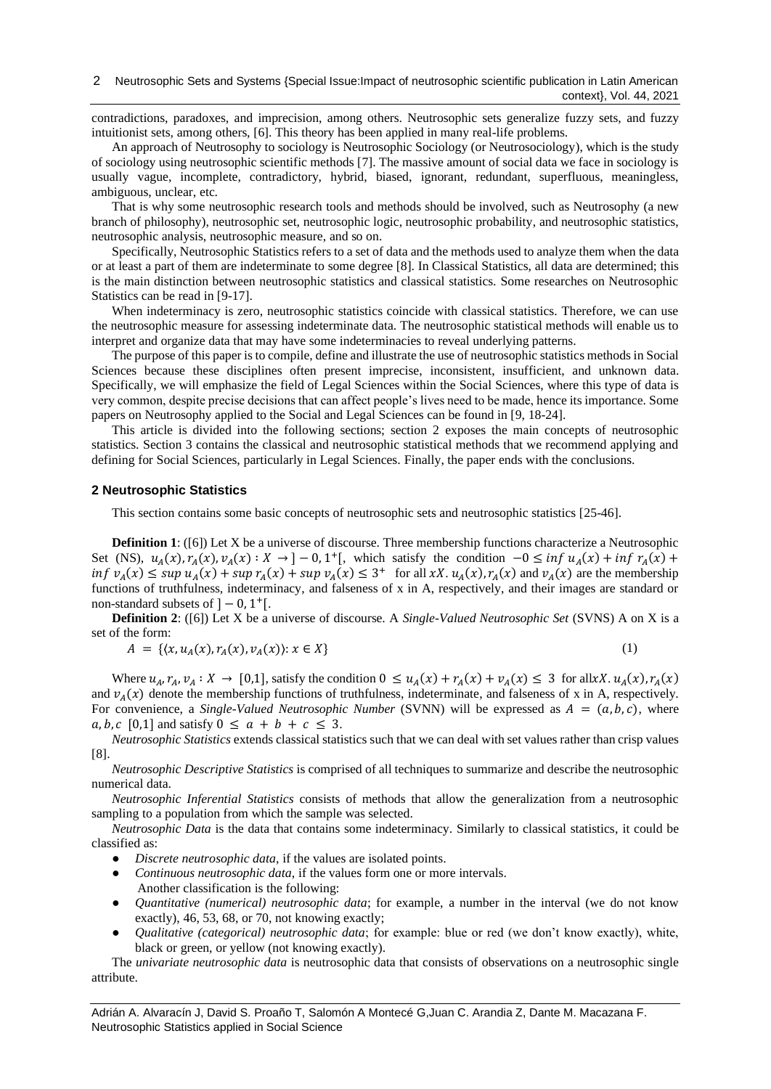contradictions, paradoxes, and imprecision, among others. Neutrosophic sets generalize fuzzy sets, and fuzzy intuitionist sets, among others, [\[6\]](#page-6-2). This theory has been applied in many real-life problems.

An approach of Neutrosophy to sociology is Neutrosophic Sociology (or Neutrosociology), which is the study of sociology using neutrosophic scientific methods [\[7\]](#page-6-3). The massive amount of social data we face in sociology is usually vague, incomplete, contradictory, hybrid, biased, ignorant, redundant, superfluous, meaningless, ambiguous, unclear, etc.

That is why some neutrosophic research tools and methods should be involved, such as Neutrosophy (a new branch of philosophy), neutrosophic set, neutrosophic logic, neutrosophic probability, and neutrosophic statistics, neutrosophic analysis, neutrosophic measure, and so on.

Specifically, Neutrosophic Statistics refers to a set of data and the methods used to analyze them when the data or at least a part of them are indeterminate to some degree [\[8\]](#page-6-4). In Classical Statistics, all data are determined; this is the main distinction between neutrosophic statistics and classical statistics. Some researches on Neutrosophic Statistics can be read in [\[9-17\]](#page-6-5).

When indeterminacy is zero, neutrosophic statistics coincide with classical statistics. Therefore, we can use the neutrosophic measure for assessing indeterminate data. The neutrosophic statistical methods will enable us to interpret and organize data that may have some indeterminacies to reveal underlying patterns.

The purpose of this paper is to compile, define and illustrate the use of neutrosophic statistics methods in Social Sciences because these disciplines often present imprecise, inconsistent, insufficient, and unknown data. Specifically, we will emphasize the field of Legal Sciences within the Social Sciences, where this type of data is very common, despite precise decisions that can affect people's lives need to be made, hence its importance. Some papers on Neutrosophy applied to the Social and Legal Sciences can be found in [\[9,](#page-6-5) [18-24\]](#page-7-0).

This article is divided into the following sections; section 2 exposes the main concepts of neutrosophic statistics. Section 3 contains the classical and neutrosophic statistical methods that we recommend applying and defining for Social Sciences, particularly in Legal Sciences. Finally, the paper ends with the conclusions.

## **2 Neutrosophic Statistics**

This section contains some basic concepts of neutrosophic sets and neutrosophic statistics [\[25-46\]](#page-7-1).

**Definition 1**: ([\[6\]](#page-6-2)) Let X be a universe of discourse. Three membership functions characterize a Neutrosophic Set (NS),  $u_A(x), r_A(x), v_A(x) : X \to ]-0, 1^+]$ , which satisfy the condition  $-0 \le \inf u_A(x) + \inf r_A(x) +$  $inf \ v_A(x) \leq sup \ u_A(x) + sup \ r_A(x) + sup \ v_A(x) \leq 3^+$  for all xX.  $u_A(x), r_A(x)$  and  $v_A(x)$  are the membership functions of truthfulness, indeterminacy, and falseness of x in A, respectively, and their images are standard or non-standard subsets of  $]-0,1$ <sup>+</sup>[.

**Definition 2**: ([\[6\]](#page-6-2)) Let X be a universe of discourse. A *Single-Valued Neutrosophic Set* (SVNS) A on X is a set of the form:

$$
A = \{ (x, u_A(x), r_A(x), v_A(x)) : x \in X \}
$$
 (1)

Where  $u_A$ ,  $r_A$ ,  $v_A: X \to [0,1]$ , satisfy the condition  $0 \le u_A(x) + r_A(x) + v_A(x) \le 3$  for allxX.  $u_A(x)$ ,  $r_A(x)$ and  $v_A(x)$  denote the membership functions of truthfulness, indeterminate, and falseness of x in A, respectively. For convenience, a *Single-Valued Neutrosophic Number* (SVNN) will be expressed as  $A = (a, b, c)$ , where  $a, b, c \, [0,1]$  and satisfy  $0 \le a + b + c \le 3$ .

*Neutrosophic Statistics* extends classical statistics such that we can deal with set values rather than crisp values [\[8\]](#page-6-4).

*Neutrosophic Descriptive Statistics* is comprised of all techniques to summarize and describe the neutrosophic numerical data.

*Neutrosophic Inferential Statistics* consists of methods that allow the generalization from a neutrosophic sampling to a population from which the sample was selected.

*Neutrosophic Data* is the data that contains some indeterminacy. Similarly to classical statistics, it could be classified as:

- *Discrete neutrosophic data,* if the values are isolated points.
- *Continuous neutrosophic data*, if the values form one or more intervals.
- Another classification is the following:
- *Quantitative (numerical) neutrosophic data*; for example, a number in the interval (we do not know exactly), 46, 53, 68, or 70, not knowing exactly;
- *Qualitative (categorical) neutrosophic data*; for example: blue or red (we don't know exactly), white, black or green, or yellow (not knowing exactly).

The *univariate neutrosophic data* is neutrosophic data that consists of observations on a neutrosophic single attribute.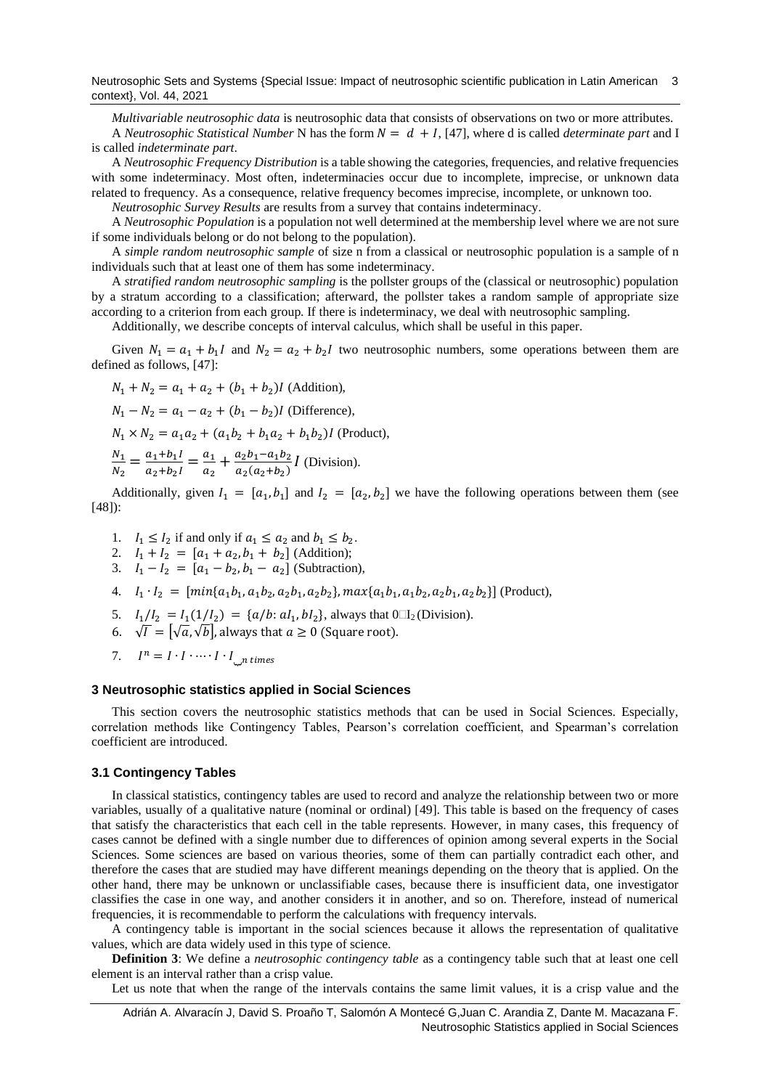Neutrosophic Sets and Systems {Special Issue: Impact of neutrosophic scientific publication in Latin American 3 context}, Vol. 44, 2021

*Multivariable neutrosophic data* is neutrosophic data that consists of observations on two or more attributes. A *Neutrosophic Statistical Number* N has the form  $N = d + I$ , [\[47\]](#page-8-0), where d is called *determinate* part and I is called *indeterminate part*.

A *Neutrosophic Frequency Distribution* is a table showing the categories, frequencies, and relative frequencies with some indeterminacy. Most often, indeterminacies occur due to incomplete, imprecise, or unknown data related to frequency. As a consequence, relative frequency becomes imprecise, incomplete, or unknown too.

*Neutrosophic Survey Results* are results from a survey that contains indeterminacy.

A *Neutrosophic Population* is a population not well determined at the membership level where we are not sure if some individuals belong or do not belong to the population).

A *simple random neutrosophic sample* of size n from a classical or neutrosophic population is a sample of n individuals such that at least one of them has some indeterminacy.

A *stratified random neutrosophic sampling* is the pollster groups of the (classical or neutrosophic) population by a stratum according to a classification; afterward, the pollster takes a random sample of appropriate size according to a criterion from each group. If there is indeterminacy, we deal with neutrosophic sampling.

Additionally, we describe concepts of interval calculus, which shall be useful in this paper.

Given  $N_1 = a_1 + b_1 I$  and  $N_2 = a_2 + b_2 I$  two neutrosophic numbers, some operations between them are defined as follows, [\[47\]](#page-8-0):

$$
N_1 + N_2 = a_1 + a_2 + (b_1 + b_2)I
$$
 (Addition),  
\n
$$
N_1 - N_2 = a_1 - a_2 + (b_1 - b_2)I
$$
 (Difference),  
\n
$$
N_1 \times N_2 = a_1a_2 + (a_1b_2 + b_1a_2 + b_1b_2)I
$$
 (Product),  
\n
$$
\frac{N_1}{N_2} = \frac{a_1 + b_1I}{a_2 + b_2I} = \frac{a_1}{a_2} + \frac{a_2b_1 - a_1b_2}{a_2(a_2 + b_2)}I
$$
 (Division).

Additionally, given  $I_1 = [a_1, b_1]$  and  $I_2 = [a_2, b_2]$  we have the following operations between them (see [\[48\]](#page-8-1)):

- 1.  $I_1 \leq I_2$  if and only if  $a_1 \leq a_2$  and  $b_1 \leq b_2$ .
- 2.  $I_1 + I_2 = [a_1 + a_2, b_1 + b_2]$  (Addition);
- 3.  $I_1 I_2 = [a_1 b_2, b_1 a_2]$  (Subtraction),
- 4.  $I_1 \cdot I_2 = [\min\{a_1b_1, a_1b_2, a_2b_1, a_2b_2\}, \max\{a_1b_1, a_1b_2, a_2b_1, a_2b_2\}]$  (Product),
- 5.  $I_1/I_2 = I_1(1/I_2) = \{a/b : aI_1, bI_2\}$ , always that  $0 \square I_2$  (Division).
- 6.  $\vec{\sqrt{I}} = [\sqrt{a}, \sqrt{b}]$ , always that  $a \ge 0$  (Square root).
- 7.  $I^n = I \cdot I \cdot \cdots \cdot I \cdot I_{\square^n}$  times

## **3 Neutrosophic statistics applied in Social Sciences**

This section covers the neutrosophic statistics methods that can be used in Social Sciences. Especially, correlation methods like Contingency Tables, Pearson's correlation coefficient, and Spearman's correlation coefficient are introduced.

## **3.1 Contingency Tables**

In classical statistics, contingency tables are used to record and analyze the relationship between two or more variables, usually of a qualitative nature (nominal or ordinal) [\[49\]](#page-8-2). This table is based on the frequency of cases that satisfy the characteristics that each cell in the table represents. However, in many cases, this frequency of cases cannot be defined with a single number due to differences of opinion among several experts in the Social Sciences. Some sciences are based on various theories, some of them can partially contradict each other, and therefore the cases that are studied may have different meanings depending on the theory that is applied. On the other hand, there may be unknown or unclassifiable cases, because there is insufficient data, one investigator classifies the case in one way, and another considers it in another, and so on. Therefore, instead of numerical frequencies, it is recommendable to perform the calculations with frequency intervals.

A contingency table is important in the social sciences because it allows the representation of qualitative values, which are data widely used in this type of science.

**Definition 3**: We define a *neutrosophic contingency table* as a contingency table such that at least one cell element is an interval rather than a crisp value.

Let us note that when the range of the intervals contains the same limit values, it is a crisp value and the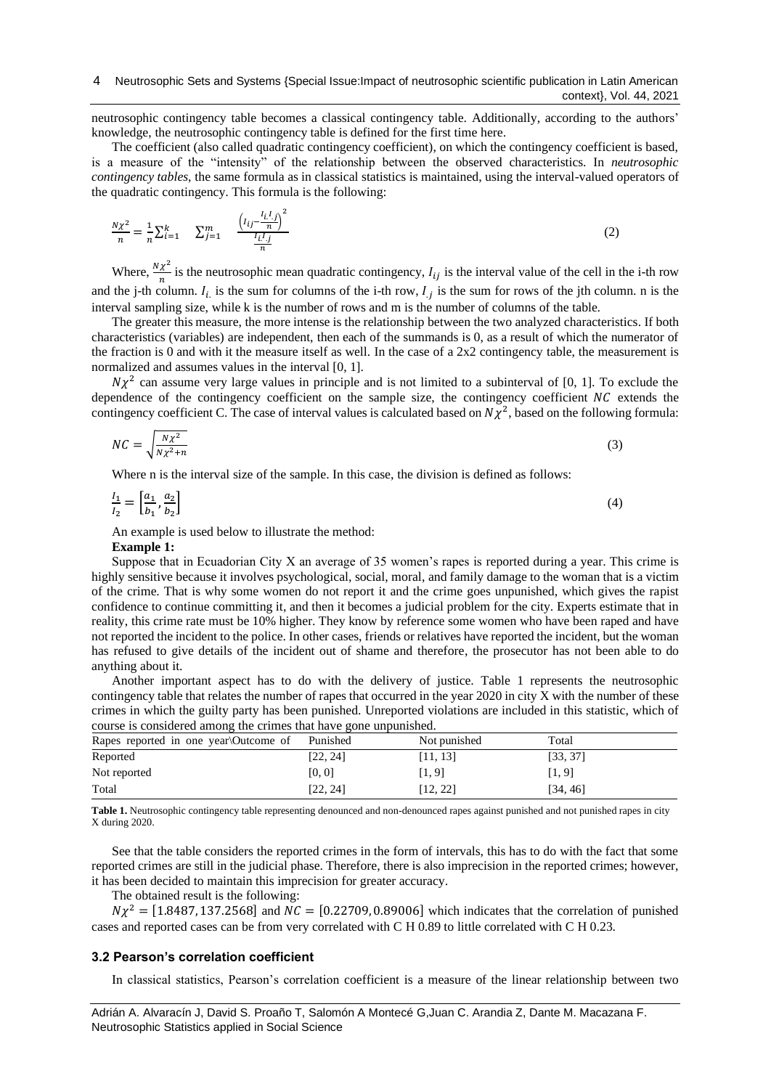neutrosophic contingency table becomes a classical contingency table. Additionally, according to the authors' knowledge, the neutrosophic contingency table is defined for the first time here.

The coefficient (also called quadratic contingency coefficient), on which the contingency coefficient is based, is a measure of the "intensity" of the relationship between the observed characteristics. In *neutrosophic contingency tables*, the same formula as in classical statistics is maintained, using the interval-valued operators of the quadratic contingency. This formula is the following:

$$
\frac{N\chi^2}{n} = \frac{1}{n} \sum_{i=1}^{k} \sum_{j=1}^{m} \frac{\left(l_{ij} - \frac{l_{i}l_{j}}{n}\right)^2}{\frac{l_{i}l_{j}}{n}}
$$
(2)

Where,  $\frac{N\chi^2}{n}$  $\frac{\lambda}{n}$  is the neutrosophic mean quadratic contingency,  $I_{ij}$  is the interval value of the cell in the i-th row and the j-th column.  $I_i$  is the sum for columns of the i-th row,  $I_j$  is the sum for rows of the jth column. n is the interval sampling size, while k is the number of rows and m is the number of columns of the table.

The greater this measure, the more intense is the relationship between the two analyzed characteristics. If both characteristics (variables) are independent, then each of the summands is 0, as a result of which the numerator of the fraction is 0 and with it the measure itself as well. In the case of a  $2x2$  contingency table, the measurement is normalized and assumes values in the interval [0, 1].

 $N\chi^2$  can assume very large values in principle and is not limited to a subinterval of [0, 1]. To exclude the dependence of the contingency coefficient on the sample size, the contingency coefficient  $NC$  extends the contingency coefficient C. The case of interval values is calculated based on  $N\chi^2$ , based on the following formula:

$$
NC = \sqrt{\frac{N\chi^2}{N\chi^2 + n}}\tag{3}
$$

Where n is the interval size of the sample. In this case, the division is defined as follows:

$$
\frac{I_1}{I_2} = \left[\frac{a_1}{b_1}, \frac{a_2}{b_2}\right] \tag{4}
$$

An example is used below to illustrate the method:

#### **Example 1:**

Suppose that in Ecuadorian City X an average of 35 women's rapes is reported during a year. This crime is highly sensitive because it involves psychological, social, moral, and family damage to the woman that is a victim of the crime. That is why some women do not report it and the crime goes unpunished, which gives the rapist confidence to continue committing it, and then it becomes a judicial problem for the city. Experts estimate that in reality, this crime rate must be 10% higher. They know by reference some women who have been raped and have not reported the incident to the police. In other cases, friends or relatives have reported the incident, but the woman has refused to give details of the incident out of shame and therefore, the prosecutor has not been able to do anything about it.

Another important aspect has to do with the delivery of justice. Table 1 represents the neutrosophic contingency table that relates the number of rapes that occurred in the year 2020 in city X with the number of these crimes in which the guilty party has been punished. Unreported violations are included in this statistic, which of course is considered among the crimes that have gone unpunished.

| composition to consider the million of the critical million of the million of |          |              |          |  |
|-------------------------------------------------------------------------------|----------|--------------|----------|--|
| Rapes reported in one year Outcome of                                         | Punished | Not punished | Total    |  |
| Reported                                                                      | [22, 24] | [11, 13]     | [33, 37] |  |
| Not reported                                                                  | [0, 0]   | [1, 9]       | [1, 9]   |  |
| Total                                                                         | [22, 24] | [12, 22]     | [34, 46] |  |

**Table 1.** Neutrosophic contingency table representing denounced and non-denounced rapes against punished and not punished rapes in city X during 2020.

See that the table considers the reported crimes in the form of intervals, this has to do with the fact that some reported crimes are still in the judicial phase. Therefore, there is also imprecision in the reported crimes; however, it has been decided to maintain this imprecision for greater accuracy.

The obtained result is the following:

 $N\chi^2 = [1.8487, 137.2568]$  and  $NC = [0.22709, 0.89006]$  which indicates that the correlation of punished cases and reported cases can be from very correlated with C H 0.89 to little correlated with C H 0.23.

## **3.2 Pearson's correlation coefficient**

In classical statistics, Pearson's correlation coefficient is a measure of the linear relationship between two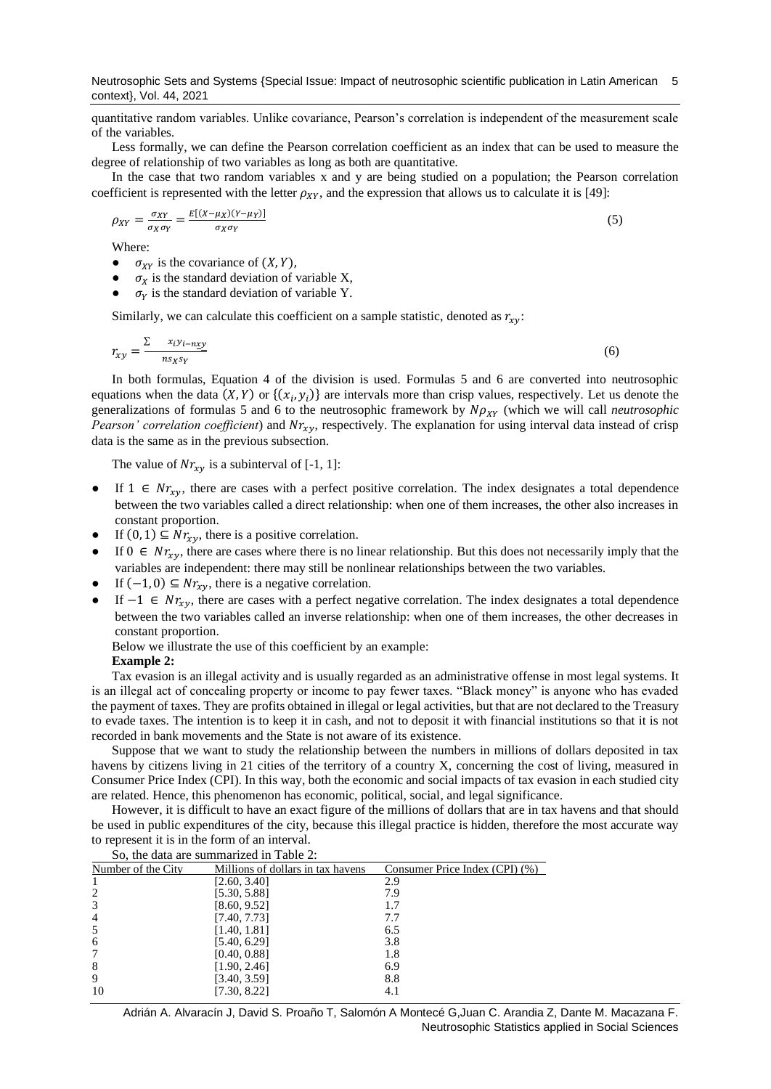quantitative random variables. Unlike covariance, Pearson's correlation is independent of the measurement scale of the variables.

Less formally, we can define the Pearson correlation coefficient as an index that can be used to measure the degree of relationship of two variables as long as both are quantitative.

In the case that two random variables x and y are being studied on a population; the Pearson correlation coefficient is represented with the letter  $\rho_{XY}$ , and the expression that allows us to calculate it is [\[49\]](#page-8-2):

$$
\rho_{XY} = \frac{\sigma_{XY}}{\sigma_X \sigma_Y} = \frac{E[(X - \mu_X)(Y - \mu_Y)]}{\sigma_X \sigma_Y} \tag{5}
$$

Where:

- $\bullet$   $\sigma_{XY}$  is the covariance of  $(X, Y)$ ,
- $\sigma_X$  is the standard deviation of variable X,
- $\sigma_Y$  is the standard deviation of variable Y.

Similarly, we can calculate this coefficient on a sample statistic, denoted as  $r_{xy}$ :

$$
r_{xy} = \frac{\sum x_i y_{i-nxy}}{n s_x s_y} \tag{6}
$$

In both formulas, Equation 4 of the division is used. Formulas 5 and 6 are converted into neutrosophic equations when the data  $(X, Y)$  or  $\{(x_i, y_i)\}\$  are intervals more than crisp values, respectively. Let us denote the generalizations of formulas 5 and 6 to the neutrosophic framework by  $N\rho_{XY}$  (which we will call *neutrosophic Pearson' correlation coefficient*) and  $Nr_{xy}$ , respectively. The explanation for using interval data instead of crisp data is the same as in the previous subsection.

The value of  $Nr_{xy}$  is a subinterval of [-1, 1]:

- If  $1 \in Nr_{rv}$ , there are cases with a perfect positive correlation. The index designates a total dependence between the two variables called a direct relationship: when one of them increases, the other also increases in constant proportion.
- If  $(0, 1) \subseteq Nr_{xy}$ , there is a positive correlation.
- If  $0 \in Nr_{xy}$ , there are cases where there is no linear relationship. But this does not necessarily imply that the variables are independent: there may still be nonlinear relationships between the two variables.
- If  $(-1, 0) \subseteq Nr_{xy}$ , there is a negative correlation.
- If  $-1$  ∈  $Nr_{xy}$ , there are cases with a perfect negative correlation. The index designates a total dependence between the two variables called an inverse relationship: when one of them increases, the other decreases in constant proportion.

Below we illustrate the use of this coefficient by an example:

## **Example 2:**

Tax evasion is an illegal activity and is usually regarded as an administrative offense in most legal systems. It is an illegal act of concealing property or income to pay fewer taxes. "Black money" is anyone who has evaded the payment of taxes. They are profits obtained in illegal or legal activities, but that are not declared to the Treasury to evade taxes. The intention is to keep it in cash, and not to deposit it with financial institutions so that it is not recorded in bank movements and the State is not aware of its existence.

Suppose that we want to study the relationship between the numbers in millions of dollars deposited in tax havens by citizens living in 21 cities of the territory of a country X, concerning the cost of living, measured in Consumer Price Index (CPI). In this way, both the economic and social impacts of tax evasion in each studied city are related. Hence, this phenomenon has economic, political, social, and legal significance.

However, it is difficult to have an exact figure of the millions of dollars that are in tax havens and that should be used in public expenditures of the city, because this illegal practice is hidden, therefore the most accurate way to represent it is in the form of an interval.

| So, the data are summarized in Table 2: |                                   |                                |  |  |
|-----------------------------------------|-----------------------------------|--------------------------------|--|--|
| Number of the City                      | Millions of dollars in tax havens | Consumer Price Index (CPI) (%) |  |  |
|                                         | [2.60, 3.40]                      | 2.9                            |  |  |
| $\overline{c}$                          | [5.30, 5.88]                      | 7.9                            |  |  |
| 3                                       | [8.60, 9.52]                      |                                |  |  |
| $\overline{4}$                          | [7.40, 7.73]                      | 7.7                            |  |  |
| 5                                       | [1.40, 1.81]                      | 6.5                            |  |  |
| 6                                       | [5.40, 6.29]                      | 3.8                            |  |  |
|                                         | [0.40, 0.88]                      | 1.8                            |  |  |
| 8                                       | [1.90, 2.46]                      | 6.9                            |  |  |
| 9                                       | [3.40, 3.59]                      | 8.8                            |  |  |
| 10                                      | [7.30, 8.22]                      |                                |  |  |

Adrián A. Alvaracín J, David S. Proaño T, Salomón A Montecé G,Juan C. Arandia Z, Dante M. Macazana F. Neutrosophic Statistics applied in Social Sciences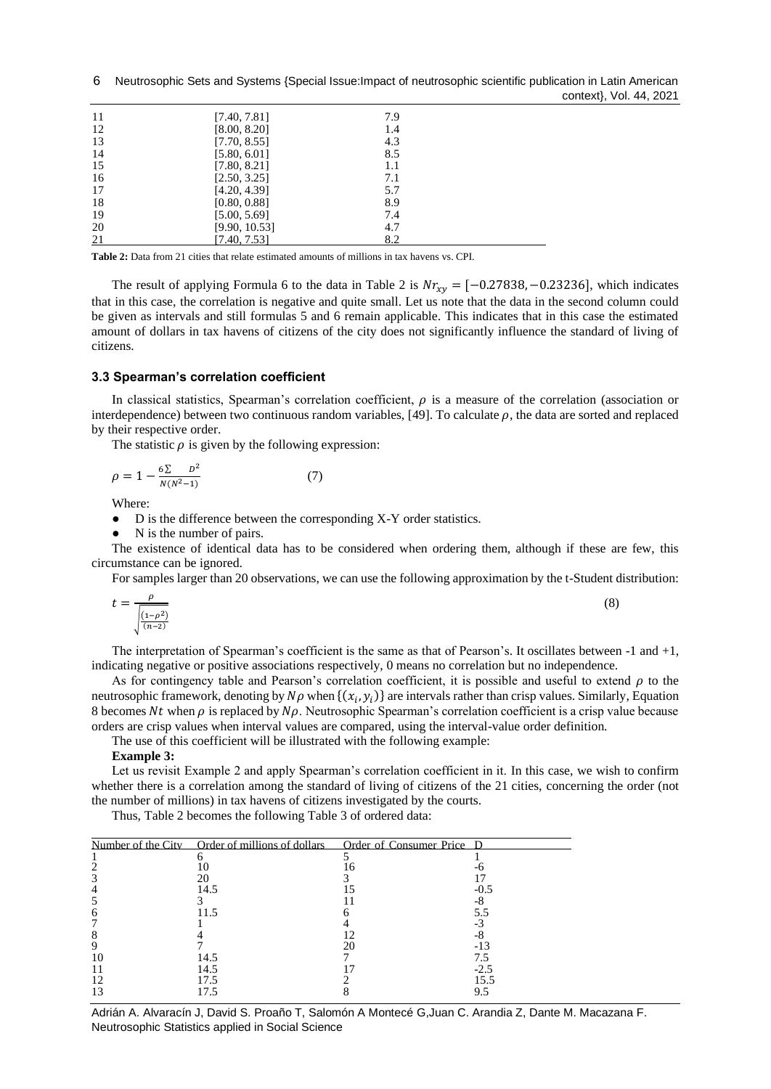6 Neutrosophic Sets and Systems {Special Issue: Impact of neutrosophic scientific publication in Latin American context}, Vol. 44, 2021

| 11 | [7.40, 7.81]  | 7.9 |
|----|---------------|-----|
| 12 | [8.00, 8.20]  | 1.4 |
| 13 | [7.70, 8.55]  | 4.3 |
| 14 | [5.80, 6.01]  | 8.5 |
| 15 | [7.80, 8.21]  | 1.1 |
| 16 | [2.50, 3.25]  | 7.1 |
| 17 | [4.20, 4.39]  | 5.7 |
| 18 | [0.80, 0.88]  | 8.9 |
| 19 | [5.00, 5.69]  | 7.4 |
| 20 | [9.90, 10.53] | 4.7 |
| 21 | [7.40, 7.53]  | 8.2 |

**Table 2:** Data from 21 cities that relate estimated amounts of millions in tax havens vs. CPI.

The result of applying Formula 6 to the data in Table 2 is  $Nr_{xy} = [-0.27838, -0.23236]$ , which indicates that in this case, the correlation is negative and quite small. Let us note that the data in the second column could be given as intervals and still formulas 5 and 6 remain applicable. This indicates that in this case the estimated amount of dollars in tax havens of citizens of the city does not significantly influence the standard of living of citizens.

## **3.3 Spearman's correlation coefficient**

In classical statistics, Spearman's correlation coefficient,  $\rho$  is a measure of the correlation (association or interdependence) between two continuous random variables, [\[49\]](#page-8-2). To calculate  $\rho$ , the data are sorted and replaced by their respective order.

The statistic  $\rho$  is given by the following expression:

$$
\rho = 1 - \frac{6\sum D^2}{N(N^2 - 1)}\tag{7}
$$

Where:

● D is the difference between the corresponding X-Y order statistics.

• N is the number of pairs.

The existence of identical data has to be considered when ordering them, although if these are few, this circumstance can be ignored.

For samples larger than 20 observations, we can use the following approximation by the t-Student distribution:

$$
t = \frac{\rho}{\sqrt{\frac{(1-\rho^2)}{(n-2)}}}
$$
\n<sup>(8)</sup>

The interpretation of Spearman's coefficient is the same as that of Pearson's. It oscillates between -1 and +1, indicating negative or positive associations respectively, 0 means no correlation but no independence.

As for contingency table and Pearson's correlation coefficient, it is possible and useful to extend  $\rho$  to the neutrosophic framework, denoting by  $N\rho$  when  $\{(x_i, y_i)\}$  are intervals rather than crisp values. Similarly, Equation 8 becomes Nt when  $\rho$  is replaced by N $\rho$ . Neutrosophic Spearman's correlation coefficient is a crisp value because orders are crisp values when interval values are compared, using the interval-value order definition.

The use of this coefficient will be illustrated with the following example:

## **Example 3:**

Let us revisit Example 2 and apply Spearman's correlation coefficient in it. In this case, we wish to confirm whether there is a correlation among the standard of living of citizens of the 21 cities, concerning the order (not the number of millions) in tax havens of citizens investigated by the courts.

Thus, Table 2 becomes the following Table 3 of ordered data:

|    | Number of the City Order of millions of dollars Order of Consumer Price D |        |
|----|---------------------------------------------------------------------------|--------|
|    |                                                                           |        |
|    |                                                                           |        |
|    | 20                                                                        |        |
|    | 14.5                                                                      | $-0.5$ |
|    |                                                                           |        |
|    | 11.5                                                                      | 5.5    |
|    |                                                                           |        |
|    |                                                                           |        |
|    |                                                                           | -13    |
| 10 | 14.5                                                                      |        |
|    | 14.5                                                                      | $-2.5$ |
|    | 17.5                                                                      | 15.5   |
|    |                                                                           |        |

Adrián A. Alvaracín J, David S. Proaño T, Salomón A Montecé G,Juan C. Arandia Z, Dante M. Macazana F. Neutrosophic Statistics applied in Social Science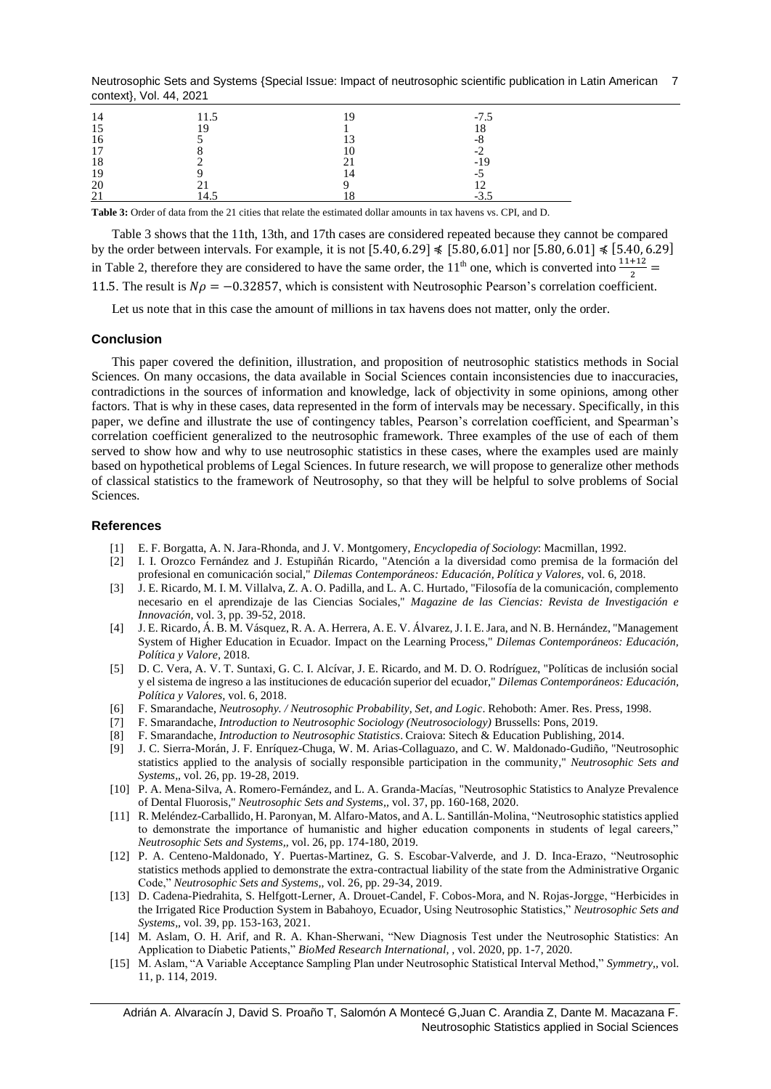Neutrosophic Sets and Systems {Special Issue: Impact of neutrosophic scientific publication in Latin American 7 context}, Vol. 44, 2021

| 14         | 11.5 | 10                | $-7.5$ |
|------------|------|-------------------|--------|
| 15         | 10   |                   | 18     |
| 16         |      | $1^{\circ}$<br>ιJ | -8     |
| 17         |      | 10                | -2     |
| 18         |      |                   | $-19$  |
| 19         |      | 14                | -5     |
| 20         |      |                   |        |
| $\gamma$ 1 | 14.5 |                   | $-3.5$ |

**Table 3:** Order of data from the 21 cities that relate the estimated dollar amounts in tax havens vs. CPI, and D.

Table 3 shows that the 11th, 13th, and 17th cases are considered repeated because they cannot be compared by the order between intervals. For example, it is not  $[5.40, 6.29] \leq 5.80, 6.01$  nor  $[5.80, 6.01] \leq 5.40, 6.29$ in Table 2, therefore they are considered to have the same order, the 11<sup>th</sup> one, which is converted into  $\frac{11+12}{2}$  = 11.5. The result is  $N\rho = -0.32857$ , which is consistent with Neutrosophic Pearson's correlation coefficient.

Let us note that in this case the amount of millions in tax havens does not matter, only the order.

#### **Conclusion**

This paper covered the definition, illustration, and proposition of neutrosophic statistics methods in Social Sciences. On many occasions, the data available in Social Sciences contain inconsistencies due to inaccuracies, contradictions in the sources of information and knowledge, lack of objectivity in some opinions, among other factors. That is why in these cases, data represented in the form of intervals may be necessary. Specifically, in this paper, we define and illustrate the use of contingency tables, Pearson's correlation coefficient, and Spearman's correlation coefficient generalized to the neutrosophic framework. Three examples of the use of each of them served to show how and why to use neutrosophic statistics in these cases, where the examples used are mainly based on hypothetical problems of Legal Sciences. In future research, we will propose to generalize other methods of classical statistics to the framework of Neutrosophy, so that they will be helpful to solve problems of Social Sciences.

#### <span id="page-6-0"></span>**References**

- [1] E. F. Borgatta, A. N. Jara-Rhonda, and J. V. Montgomery, *Encyclopedia of Sociology*: Macmillan, 1992.
- <span id="page-6-1"></span>[2] I. I. Orozco Fernández and J. Estupiñán Ricardo, "Atención a la diversidad como premisa de la formación del profesional en comunicación social," *Dilemas Contemporáneos: Educación, Política y Valores,* vol. 6, 2018.
- [3] J. E. Ricardo, M. I. M. Villalva, Z. A. O. Padilla, and L. A. C. Hurtado, "Filosofía de la comunicación, complemento necesario en el aprendizaje de las Ciencias Sociales," *Magazine de las Ciencias: Revista de Investigación e Innovación,* vol. 3, pp. 39-52, 2018.
- [4] J. E. Ricardo, Á. B. M. Vásquez, R. A. A. Herrera, A. E. V. Álvarez, J. I. E. Jara, and N. B. Hernández, "Management System of Higher Education in Ecuador. Impact on the Learning Process," *Dilemas Contemporáneos: Educación, Política y Valore,* 2018.
- [5] D. C. Vera, A. V. T. Suntaxi, G. C. I. Alcívar, J. E. Ricardo, and M. D. O. Rodríguez, "Políticas de inclusión social y el sistema de ingreso a las instituciones de educación superior del ecuador," *Dilemas Contemporáneos: Educación, Política y Valores,* vol. 6, 2018.
- <span id="page-6-2"></span>[6] F. Smarandache, *Neutrosophy. / Neutrosophic Probability, Set, and Logic*. Rehoboth: Amer. Res. Press, 1998.
- <span id="page-6-3"></span>[7] F. Smarandache, *Introduction to Neutrosophic Sociology (Neutrosociology)* Brussells: Pons, 2019.
- <span id="page-6-4"></span>[8] F. Smarandache, *Introduction to Neutrosophic Statistics*. Craiova: Sitech & Education Publishing, 2014.
- <span id="page-6-5"></span>[9] J. C. Sierra-Morán, J. F. Enríquez-Chuga, W. M. Arias-Collaguazo, and C. W. Maldonado-Gudiño, "Neutrosophic statistics applied to the analysis of socially responsible participation in the community," *Neutrosophic Sets and Systems,,* vol. 26, pp. 19-28, 2019.
- [10] P. A. Mena-Silva, A. Romero-Fernández, and L. A. Granda-Macías, "Neutrosophic Statistics to Analyze Prevalence of Dental Fluorosis," *Neutrosophic Sets and Systems,,* vol. 37, pp. 160-168, 2020.
- [11] R. Meléndez-Carballido, H. Paronyan, M. Alfaro-Matos, and A. L. Santillán-Molina, "Neutrosophic statistics applied to demonstrate the importance of humanistic and higher education components in students of legal careers," *Neutrosophic Sets and Systems,,* vol. 26, pp. 174-180, 2019.
- [12] P. A. Centeno-Maldonado, Y. Puertas-Martinez, G. S. Escobar-Valverde, and J. D. Inca-Erazo, "Neutrosophic statistics methods applied to demonstrate the extra-contractual liability of the state from the Administrative Organic Code," *Neutrosophic Sets and Systems,,* vol. 26, pp. 29-34, 2019.
- [13] D. Cadena-Piedrahita, S. Helfgott-Lerner, A. Drouet-Candel, F. Cobos-Mora, and N. Rojas-Jorgge, "Herbicides in the Irrigated Rice Production System in Babahoyo, Ecuador, Using Neutrosophic Statistics," *Neutrosophic Sets and Systems,,* vol. 39, pp. 153-163, 2021.
- [14] M. Aslam, O. H. Arif, and R. A. Khan-Sherwani, "New Diagnosis Test under the Neutrosophic Statistics: An Application to Diabetic Patients," *BioMed Research International, ,* vol. 2020, pp. 1-7, 2020.
- [15] M. Aslam, "A Variable Acceptance Sampling Plan under Neutrosophic Statistical Interval Method," *Symmetry,,* vol. 11, p. 114, 2019.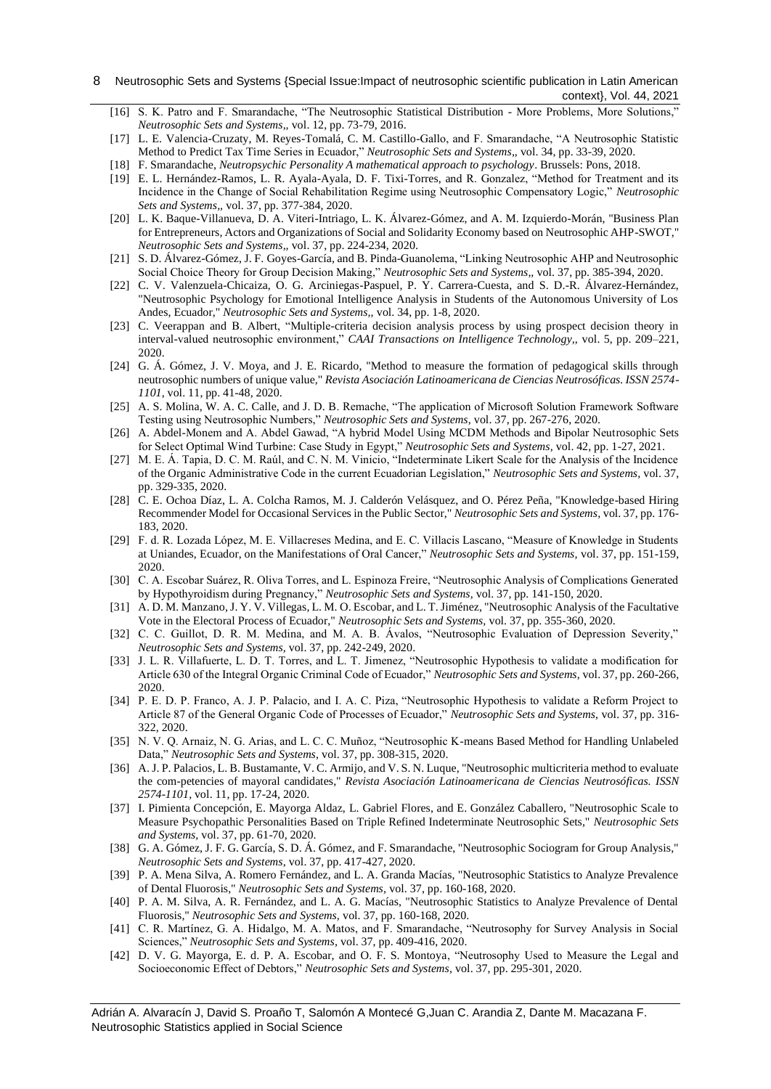#### 8 Neutrosophic Sets and Systems {Special Issue: Impact of neutrosophic scientific publication in Latin American context}, Vol. 44, 2021

- [16] S. K. Patro and F. Smarandache, "The Neutrosophic Statistical Distribution More Problems, More Solutions," *Neutrosophic Sets and Systems,,* vol. 12, pp. 73-79, 2016.
- [17] L. E. Valencia-Cruzaty, M. Reyes-Tomalá, C. M. Castillo-Gallo, and F. Smarandache, "A Neutrosophic Statistic Method to Predict Tax Time Series in Ecuador," *Neutrosophic Sets and Systems,,* vol. 34, pp. 33-39, 2020.
- <span id="page-7-0"></span>[18] F. Smarandache, *Neutropsychic Personality A mathematical approach to psychology*. Brussels: Pons, 2018.
- [19] E. L. Hernández-Ramos, L. R. Ayala-Ayala, D. F. Tixi-Torres, and R. Gonzalez, "Method for Treatment and its Incidence in the Change of Social Rehabilitation Regime using Neutrosophic Compensatory Logic," *Neutrosophic Sets and Systems,,* vol. 37, pp. 377-384, 2020.
- [20] L. K. Baque-Villanueva, D. A. Viteri-Intriago, L. K. Álvarez-Gómez, and A. M. Izquierdo-Morán, "Business Plan for Entrepreneurs, Actors and Organizations of Social and Solidarity Economy based on Neutrosophic AHP-SWOT," *Neutrosophic Sets and Systems,,* vol. 37, pp. 224-234, 2020.
- [21] S. D. Álvarez-Gómez, J. F. Goyes-García, and B. Pinda-Guanolema, "Linking Neutrosophic AHP and Neutrosophic Social Choice Theory for Group Decision Making," *Neutrosophic Sets and Systems,,* vol. 37, pp. 385-394, 2020.
- [22] C. V. Valenzuela-Chicaiza, O. G. Arciniegas-Paspuel, P. Y. Carrera-Cuesta, and S. D.-R. Álvarez-Hernández, "Neutrosophic Psychology for Emotional Intelligence Analysis in Students of the Autonomous University of Los Andes, Ecuador," *Neutrosophic Sets and Systems,,* vol. 34, pp. 1-8, 2020.
- [23] C. Veerappan and B. Albert, "Multiple-criteria decision analysis process by using prospect decision theory in interval-valued neutrosophic environment," *CAAI Transactions on Intelligence Technology,,* vol. 5, pp. 209–221, 2020.
- [24] G. Á. Gómez, J. V. Moya, and J. E. Ricardo, "Method to measure the formation of pedagogical skills through neutrosophic numbers of unique value," *Revista Asociación Latinoamericana de Ciencias Neutrosóficas. ISSN 2574- 1101,* vol. 11, pp. 41-48, 2020.
- <span id="page-7-1"></span>[25] A. S. Molina, W. A. C. Calle, and J. D. B. Remache, "The application of Microsoft Solution Framework Software Testing using Neutrosophic Numbers," *Neutrosophic Sets and Systems,* vol. 37, pp. 267-276, 2020.
- [26] A. Abdel-Monem and A. Abdel Gawad, "A hybrid Model Using MCDM Methods and Bipolar Neutrosophic Sets for Select Optimal Wind Turbine: Case Study in Egypt," *Neutrosophic Sets and Systems,* vol. 42, pp. 1-27, 2021.
- [27] M. E. Á. Tapia, D. C. M. Raúl, and C. N. M. Vinicio, "Indeterminate Likert Scale for the Analysis of the Incidence of the Organic Administrative Code in the current Ecuadorian Legislation," *Neutrosophic Sets and Systems,* vol. 37, pp. 329-335, 2020.
- [28] C. E. Ochoa Díaz, L. A. Colcha Ramos, M. J. Calderón Velásquez, and O. Pérez Peña, "Knowledge-based Hiring Recommender Model for Occasional Services in the Public Sector," *Neutrosophic Sets and Systems,* vol. 37, pp. 176- 183, 2020.
- [29] F. d. R. Lozada López, M. E. Villacreses Medina, and E. C. Villacis Lascano, "Measure of Knowledge in Students at Uniandes, Ecuador, on the Manifestations of Oral Cancer," *Neutrosophic Sets and Systems,* vol. 37, pp. 151-159, 2020.
- [30] C. A. Escobar Suárez, R. Oliva Torres, and L. Espinoza Freire, "Neutrosophic Analysis of Complications Generated by Hypothyroidism during Pregnancy," *Neutrosophic Sets and Systems,* vol. 37, pp. 141-150, 2020.
- [31] A. D. M. Manzano, J. Y. V. Villegas, L. M. O. Escobar, and L. T. Jiménez, "Neutrosophic Analysis of the Facultative Vote in the Electoral Process of Ecuador," *Neutrosophic Sets and Systems,* vol. 37, pp. 355-360, 2020.
- [32] C. C. Guillot, D. R. M. Medina, and M. A. B. Ávalos, "Neutrosophic Evaluation of Depression Severity," *Neutrosophic Sets and Systems,* vol. 37, pp. 242-249, 2020.
- [33] J. L. R. Villafuerte, L. D. T. Torres, and L. T. Jimenez, "Neutrosophic Hypothesis to validate a modification for Article 630 of the Integral Organic Criminal Code of Ecuador," *Neutrosophic Sets and Systems,* vol. 37, pp. 260-266, 2020.
- [34] P. E. D. P. Franco, A. J. P. Palacio, and I. A. C. Piza, "Neutrosophic Hypothesis to validate a Reform Project to Article 87 of the General Organic Code of Processes of Ecuador," *Neutrosophic Sets and Systems,* vol. 37, pp. 316- 322, 2020.
- [35] N. V. Q. Arnaiz, N. G. Arias, and L. C. C. Muñoz, "Neutrosophic K-means Based Method for Handling Unlabeled Data," *Neutrosophic Sets and Systems,* vol. 37, pp. 308-315, 2020.
- [36] A. J. P. Palacios, L. B. Bustamante, V. C. Armijo, and V. S. N. Luque, "Neutrosophic multicriteria method to evaluate the com-petencies of mayoral candidates," *Revista Asociación Latinoamericana de Ciencias Neutrosóficas. ISSN 2574-1101,* vol. 11, pp. 17-24, 2020.
- [37] I. Pimienta Concepción, E. Mayorga Aldaz, L. Gabriel Flores, and E. González Caballero, "Neutrosophic Scale to Measure Psychopathic Personalities Based on Triple Refined Indeterminate Neutrosophic Sets," *Neutrosophic Sets and Systems,* vol. 37, pp. 61-70, 2020.
- [38] G. A. Gómez, J. F. G. García, S. D. Á. Gómez, and F. Smarandache, "Neutrosophic Sociogram for Group Analysis," *Neutrosophic Sets and Systems,* vol. 37, pp. 417-427, 2020.
- [39] P. A. Mena Silva, A. Romero Fernández, and L. A. Granda Macías, "Neutrosophic Statistics to Analyze Prevalence of Dental Fluorosis," *Neutrosophic Sets and Systems,* vol. 37, pp. 160-168, 2020.
- [40] P. A. M. Silva, A. R. Fernández, and L. A. G. Macías, "Neutrosophic Statistics to Analyze Prevalence of Dental Fluorosis," *Neutrosophic Sets and Systems,* vol. 37, pp. 160-168, 2020.
- [41] C. R. Martínez, G. A. Hidalgo, M. A. Matos, and F. Smarandache, "Neutrosophy for Survey Analysis in Social Sciences," *Neutrosophic Sets and Systems,* vol. 37, pp. 409-416, 2020.
- [42] D. V. G. Mayorga, E. d. P. A. Escobar, and O. F. S. Montoya, "Neutrosophy Used to Measure the Legal and Socioeconomic Effect of Debtors," *Neutrosophic Sets and Systems,* vol. 37, pp. 295-301, 2020.